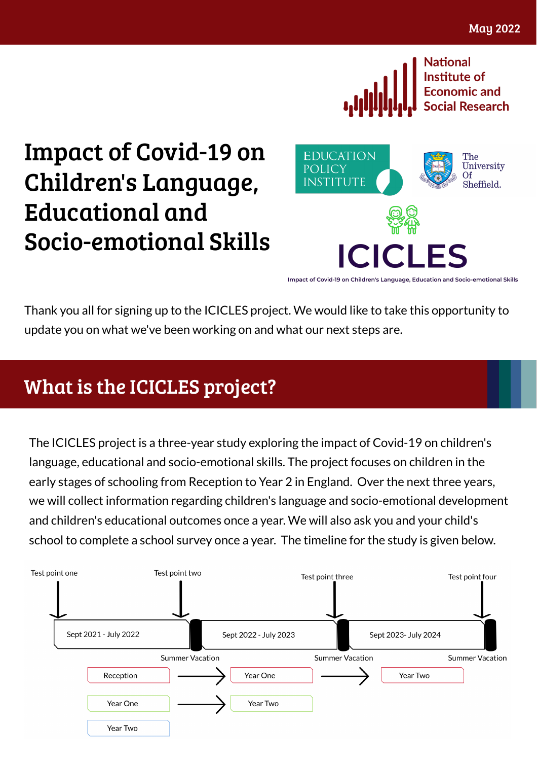

Impact of Covid-19 on Children's Language, Educational and Socio-emotional Skills



Impact of Covid-19 on Children's Language, Education and Socio-emotional Skills

Thank you all for signing up to the ICICLES project. We would like to take this opportunity to update you on what we've been working on and what our next steps are.

## What is the ICICLES project?

The ICICLES project is a three-year study exploring the impact of Covid-19 on children's language, educational and socio-emotional skills. The project focuses on children in the early stages of schooling from Reception to Year 2 in England. Over the next three years, we will collect information regarding children's language and socio-emotional development and children's educational outcomes once a year. We will also ask you and your child's school to complete a school survey once a year. The timeline for the study is given below.

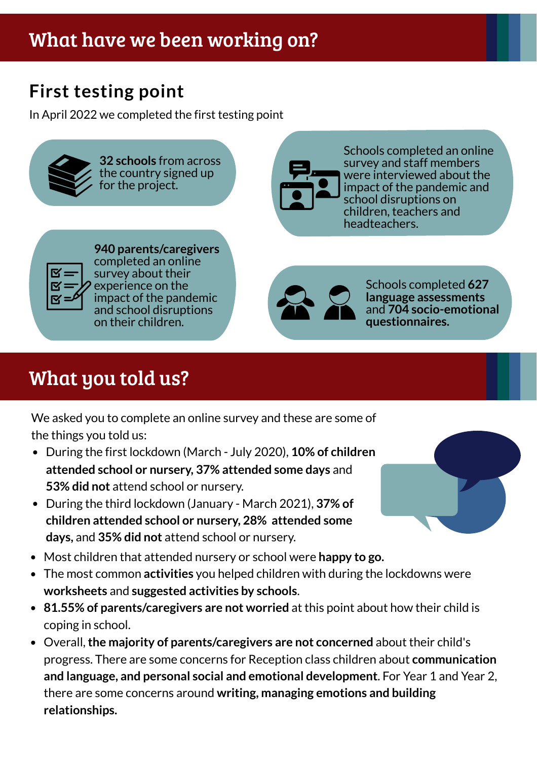## **First testing point**

In April 2022 we completed the first testing point



**32 schools** from across the country signed up for the project.



Schools completed an online survey and staff members were interviewed about the impact of the pandemic and school disruptions on children, teachers and headteachers.



**940 parents/caregivers** completed an online survey about their experience on the impact of the pandemic and school disruptions on their children.



Schools completed **627 language assessments** and **704 socio-emotional questionnaires.**

# What you told us?

We asked you to complete an online survey and these are some of the things you told us:

- During the first lockdown (March July 2020), **10% of children attended school or nursery, 37% attended some days** and **53% did not** attend school or nursery.
- During the third lockdown (January March 2021), **37% of children attended school or nursery, 28% attended some days,** and **35% did not** attend school or nursery.
- Most children that attended nursery or school were **happy to go.**
- The most common **activities** you helped children with during the lockdowns were **worksheets** and **suggested activities by schools**.
- **81.55% of parents/caregivers are not worried** at this point about how their child is coping in school.
- Overall,**the majority of parents/caregivers are not concerned** about their child's progress. There are some concerns for Reception class children about **communication and language, and personal social and emotional development**. For Year 1 and Year 2, there are some concerns around **writing, managing emotions and building relationships.**